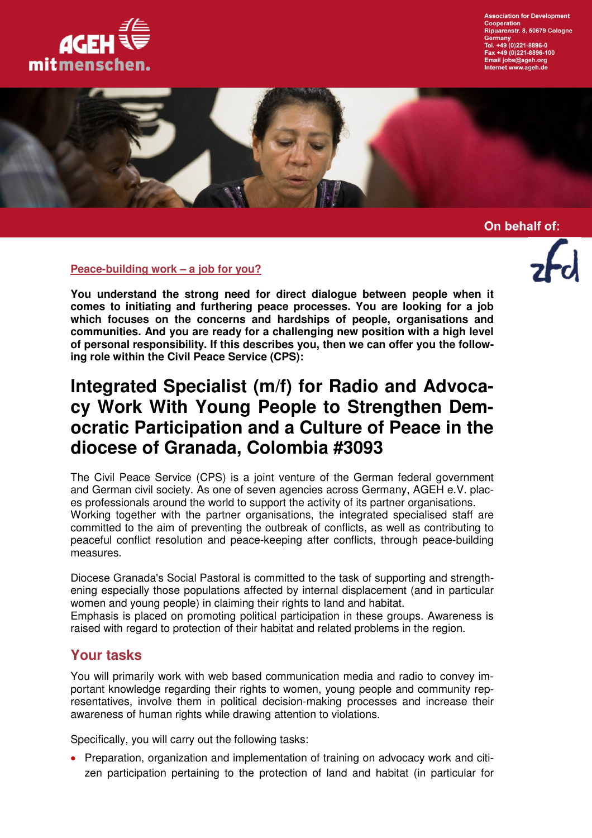

**Association for Development** Cooperation<br>Ripuarenstr. 8, 50679 Cologne Germany<br>Tel. +49 (0)221-8896-0 x +49 (0)221-8896-100 Email jobs@ageh.org<br>Internet www.ageh.de



On behalf of:

#### **Peace-building work – a job for you?**

**You understand the strong need for direct dialogue between people when it comes to initiating and furthering peace processes. You are looking for a job which focuses on the concerns and hardships of people, organisations and communities. And you are ready for a challenging new position with a high level of personal responsibility. If this describes you, then we can offer you the following role within the Civil Peace Service (CPS):** 

# **Integrated Specialist (m/f) for Radio and Advocacy Work With Young People to Strengthen Democratic Participation and a Culture of Peace in the diocese of Granada, Colombia #3093**

The Civil Peace Service (CPS) is a joint venture of the German federal government and German civil society. As one of seven agencies across Germany, AGEH e.V. places professionals around the world to support the activity of its partner organisations. Working together with the partner organisations, the integrated specialised staff are committed to the aim of preventing the outbreak of conflicts, as well as contributing to peaceful conflict resolution and peace-keeping after conflicts, through peace-building measures.

Diocese Granada's Social Pastoral is committed to the task of supporting and strengthening especially those populations affected by internal displacement (and in particular women and young people) in claiming their rights to land and habitat.

Emphasis is placed on promoting political participation in these groups. Awareness is raised with regard to protection of their habitat and related problems in the region.

### **Your tasks**

You will primarily work with web based communication media and radio to convey important knowledge regarding their rights to women, young people and community representatives, involve them in political decision-making processes and increase their awareness of human rights while drawing attention to violations.

Specifically, you will carry out the following tasks:

• Preparation, organization and implementation of training on advocacy work and citizen participation pertaining to the protection of land and habitat (in particular for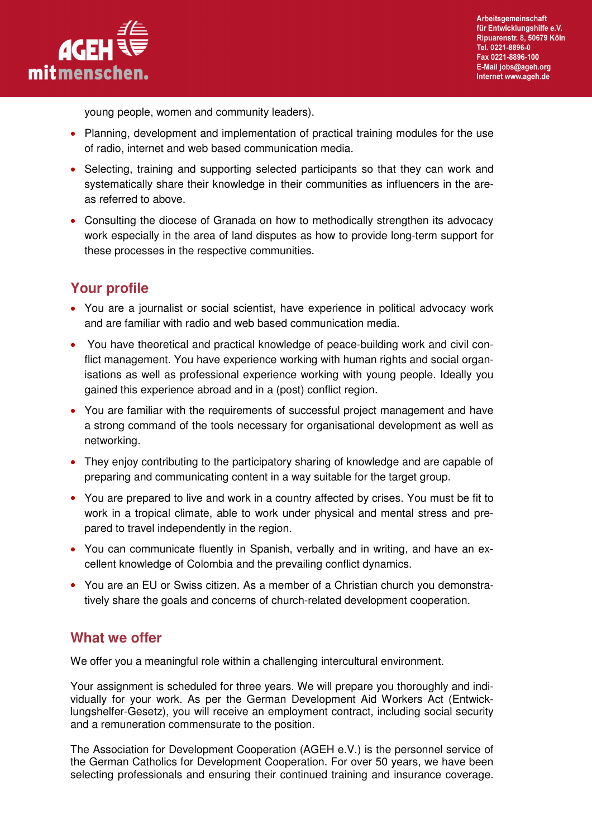

young people, women and community leaders).

- Planning, development and implementation of practical training modules for the use of radio, internet and web based communication media.
- Selecting, training and supporting selected participants so that they can work and systematically share their knowledge in their communities as influencers in the areas referred to above.
- Consulting the diocese of Granada on how to methodically strengthen its advocacy work especially in the area of land disputes as how to provide long-term support for these processes in the respective communities.

# **Your profile**

- You are a journalist or social scientist, have experience in political advocacy work and are familiar with radio and web based communication media.
- You have theoretical and practical knowledge of peace-building work and civil conflict management. You have experience working with human rights and social organisations as well as professional experience working with young people. Ideally you gained this experience abroad and in a (post) conflict region.
- You are familiar with the requirements of successful project management and have a strong command of the tools necessary for organisational development as well as networking.
- They enjoy contributing to the participatory sharing of knowledge and are capable of preparing and communicating content in a way suitable for the target group.
- You are prepared to live and work in a country affected by crises. You must be fit to work in a tropical climate, able to work under physical and mental stress and prepared to travel independently in the region.
- You can communicate fluently in Spanish, verbally and in writing, and have an excellent knowledge of Colombia and the prevailing conflict dynamics.
- You are an EU or Swiss citizen. As a member of a Christian church you demonstratively share the goals and concerns of church-related development cooperation.

## **What we offer**

We offer you a meaningful role within a challenging intercultural environment.

Your assignment is scheduled for three years. We will prepare you thoroughly and individually for your work. As per the German Development Aid Workers Act (Entwicklungshelfer-Gesetz), you will receive an employment contract, including social security and a remuneration commensurate to the position.

The Association for Development Cooperation (AGEH e.V.) is the personnel service of the German Catholics for Development Cooperation. For over 50 years, we have been selecting professionals and ensuring their continued training and insurance coverage.